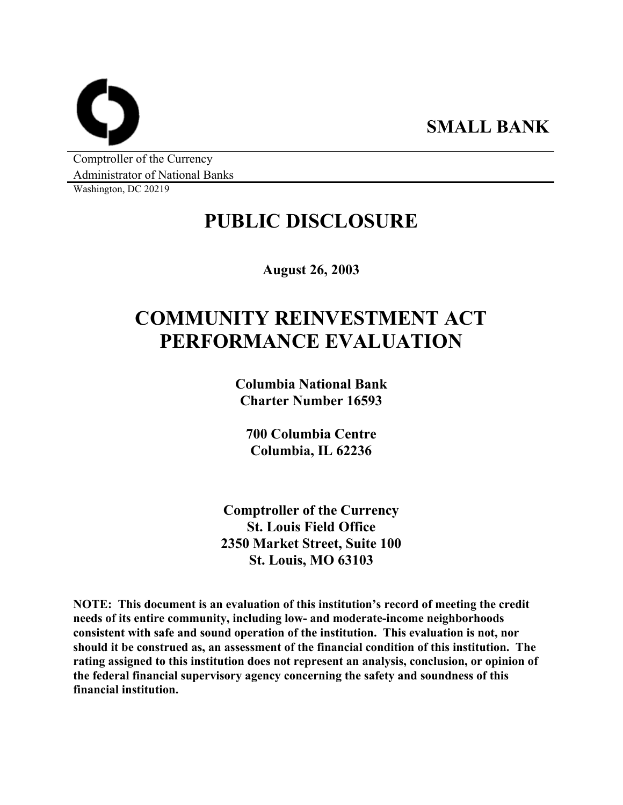**SMALL BANK** 

Comptroller of the Currency Administrator of National Banks

Washington, DC 20219

# **PUBLIC DISCLOSURE**

**August 26, 2003** 

# **COMMUNITY REINVESTMENT ACT PERFORMANCE EVALUATION**

**Columbia National Bank Charter Number 16593** 

**700 Columbia Centre Columbia, IL 62236** 

**Comptroller of the Currency St. Louis Field Office 2350 Market Street, Suite 100 St. Louis, MO 63103** 

**NOTE: This document is an evaluation of this institution's record of meeting the credit needs of its entire community, including low- and moderate-income neighborhoods consistent with safe and sound operation of the institution. This evaluation is not, nor should it be construed as, an assessment of the financial condition of this institution. The rating assigned to this institution does not represent an analysis, conclusion, or opinion of the federal financial supervisory agency concerning the safety and soundness of this financial institution.**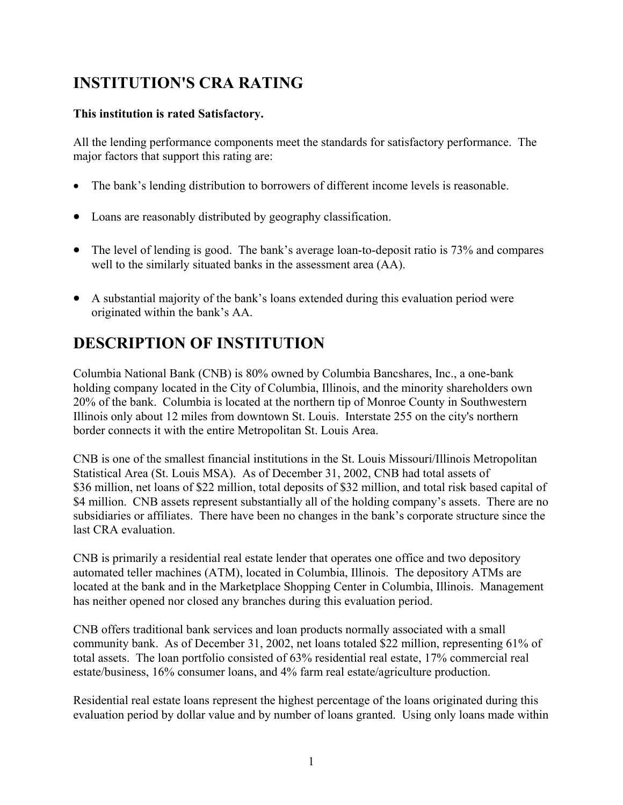## **INSTITUTION'S CRA RATING**

### **This institution is rated Satisfactory.**

All the lending performance components meet the standards for satisfactory performance. The major factors that support this rating are:

- The bank's lending distribution to borrowers of different income levels is reasonable.
- Loans are reasonably distributed by geography classification.
- The level of lending is good. The bank's average loan-to-deposit ratio is 73% and compares well to the similarly situated banks in the assessment area (AA).
- A substantial majority of the bank's loans extended during this evaluation period were originated within the bank's AA.

## **DESCRIPTION OF INSTITUTION**

Columbia National Bank (CNB) is 80% owned by Columbia Bancshares, Inc., a one-bank holding company located in the City of Columbia, Illinois, and the minority shareholders own 20% of the bank. Columbia is located at the northern tip of Monroe County in Southwestern Illinois only about 12 miles from downtown St. Louis. Interstate 255 on the city's northern border connects it with the entire Metropolitan St. Louis Area.

CNB is one of the smallest financial institutions in the St. Louis Missouri/Illinois Metropolitan Statistical Area (St. Louis MSA). As of December 31, 2002, CNB had total assets of \$36 million, net loans of \$22 million, total deposits of \$32 million, and total risk based capital of \$4 million. CNB assets represent substantially all of the holding company's assets. There are no subsidiaries or affiliates. There have been no changes in the bank's corporate structure since the last CRA evaluation.

CNB is primarily a residential real estate lender that operates one office and two depository automated teller machines (ATM), located in Columbia, Illinois. The depository ATMs are located at the bank and in the Marketplace Shopping Center in Columbia, Illinois. Management has neither opened nor closed any branches during this evaluation period.

CNB offers traditional bank services and loan products normally associated with a small community bank. As of December 31, 2002, net loans totaled \$22 million, representing 61% of total assets. The loan portfolio consisted of 63% residential real estate, 17% commercial real estate/business, 16% consumer loans, and 4% farm real estate/agriculture production.

Residential real estate loans represent the highest percentage of the loans originated during this evaluation period by dollar value and by number of loans granted. Using only loans made within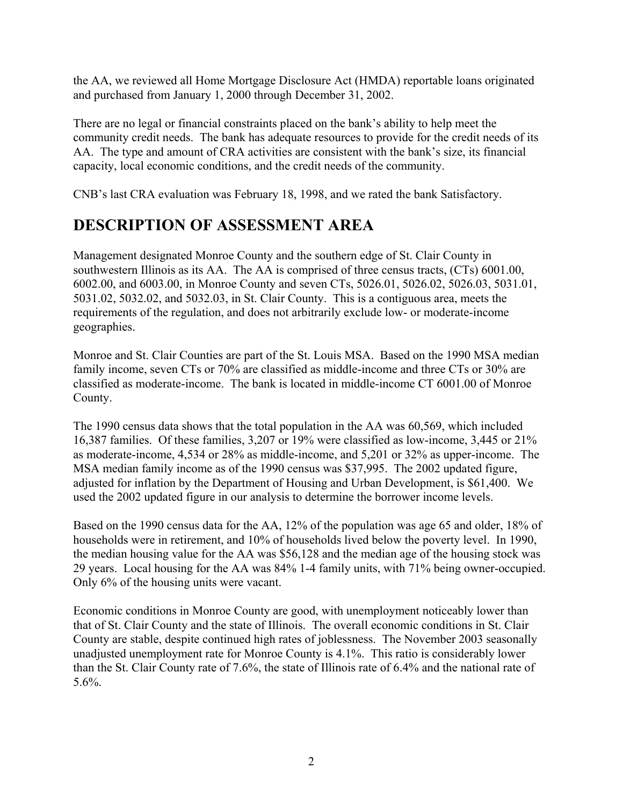the AA, we reviewed all Home Mortgage Disclosure Act (HMDA) reportable loans originated and purchased from January 1, 2000 through December 31, 2002.

There are no legal or financial constraints placed on the bank's ability to help meet the community credit needs. The bank has adequate resources to provide for the credit needs of its AA. The type and amount of CRA activities are consistent with the bank's size, its financial capacity, local economic conditions, and the credit needs of the community.

CNB's last CRA evaluation was February 18, 1998, and we rated the bank Satisfactory.

### **DESCRIPTION OF ASSESSMENT AREA**

Management designated Monroe County and the southern edge of St. Clair County in southwestern Illinois as its AA. The AA is comprised of three census tracts, (CTs) 6001.00, 6002.00, and 6003.00, in Monroe County and seven CTs, 5026.01, 5026.02, 5026.03, 5031.01, 5031.02, 5032.02, and 5032.03, in St. Clair County. This is a contiguous area, meets the requirements of the regulation, and does not arbitrarily exclude low- or moderate-income geographies.

Monroe and St. Clair Counties are part of the St. Louis MSA. Based on the 1990 MSA median family income, seven CTs or 70% are classified as middle-income and three CTs or 30% are classified as moderate-income. The bank is located in middle-income CT 6001.00 of Monroe County.

The 1990 census data shows that the total population in the AA was 60,569, which included 16,387 families. Of these families, 3,207 or 19% were classified as low-income, 3,445 or 21% as moderate-income, 4,534 or 28% as middle-income, and 5,201 or 32% as upper-income. The MSA median family income as of the 1990 census was \$37,995. The 2002 updated figure, adjusted for inflation by the Department of Housing and Urban Development, is \$61,400. We used the 2002 updated figure in our analysis to determine the borrower income levels.

Based on the 1990 census data for the AA, 12% of the population was age 65 and older, 18% of households were in retirement, and 10% of households lived below the poverty level. In 1990, the median housing value for the AA was \$56,128 and the median age of the housing stock was 29 years. Local housing for the AA was 84% 1-4 family units, with 71% being owner-occupied. Only 6% of the housing units were vacant.

Economic conditions in Monroe County are good, with unemployment noticeably lower than that of St. Clair County and the state of Illinois. The overall economic conditions in St. Clair County are stable, despite continued high rates of joblessness. The November 2003 seasonally unadjusted unemployment rate for Monroe County is 4.1%. This ratio is considerably lower than the St. Clair County rate of 7.6%, the state of Illinois rate of 6.4% and the national rate of 5.6%.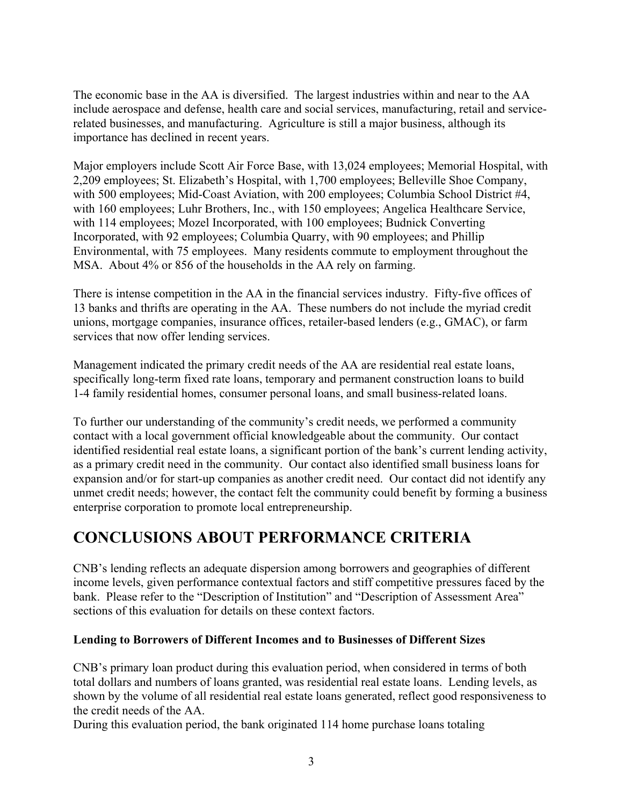The economic base in the AA is diversified. The largest industries within and near to the AA include aerospace and defense, health care and social services, manufacturing, retail and servicerelated businesses, and manufacturing. Agriculture is still a major business, although its importance has declined in recent years.

Major employers include Scott Air Force Base, with 13,024 employees; Memorial Hospital, with 2,209 employees; St. Elizabeth's Hospital, with 1,700 employees; Belleville Shoe Company, with 500 employees; Mid-Coast Aviation, with 200 employees; Columbia School District #4, with 160 employees; Luhr Brothers, Inc., with 150 employees; Angelica Healthcare Service, with 114 employees; Mozel Incorporated, with 100 employees; Budnick Converting Incorporated, with 92 employees; Columbia Quarry, with 90 employees; and Phillip Environmental, with 75 employees. Many residents commute to employment throughout the MSA. About 4% or 856 of the households in the AA rely on farming.

There is intense competition in the AA in the financial services industry. Fifty-five offices of 13 banks and thrifts are operating in the AA. These numbers do not include the myriad credit unions, mortgage companies, insurance offices, retailer-based lenders (e.g., GMAC), or farm services that now offer lending services.

Management indicated the primary credit needs of the AA are residential real estate loans, specifically long-term fixed rate loans, temporary and permanent construction loans to build 1-4 family residential homes, consumer personal loans, and small business-related loans.

To further our understanding of the community's credit needs, we performed a community contact with a local government official knowledgeable about the community. Our contact identified residential real estate loans, a significant portion of the bank's current lending activity, as a primary credit need in the community. Our contact also identified small business loans for expansion and/or for start-up companies as another credit need. Our contact did not identify any unmet credit needs; however, the contact felt the community could benefit by forming a business enterprise corporation to promote local entrepreneurship.

### **CONCLUSIONS ABOUT PERFORMANCE CRITERIA**

CNB's lending reflects an adequate dispersion among borrowers and geographies of different income levels, given performance contextual factors and stiff competitive pressures faced by the bank. Please refer to the "Description of Institution" and "Description of Assessment Area" sections of this evaluation for details on these context factors.

### **Lending to Borrowers of Different Incomes and to Businesses of Different Sizes**

CNB's primary loan product during this evaluation period, when considered in terms of both total dollars and numbers of loans granted, was residential real estate loans. Lending levels, as shown by the volume of all residential real estate loans generated, reflect good responsiveness to the credit needs of the AA.

During this evaluation period, the bank originated 114 home purchase loans totaling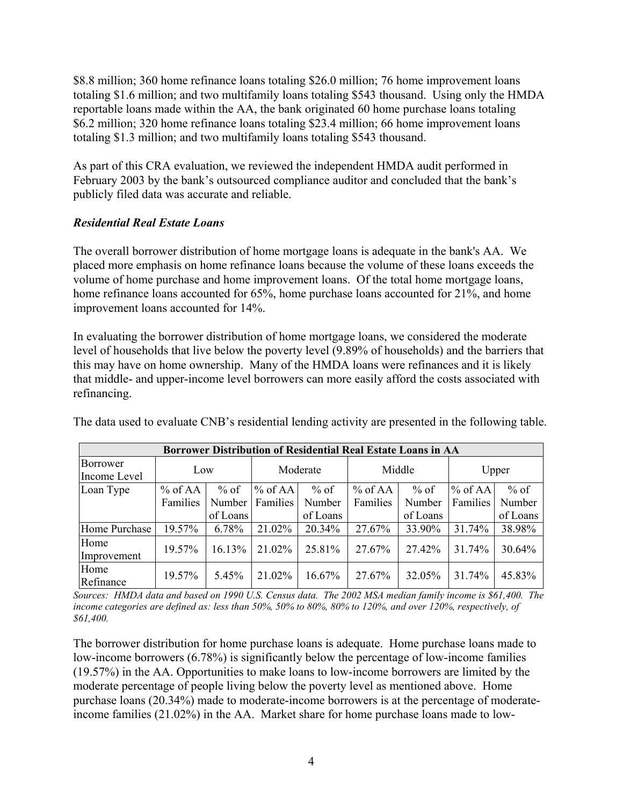\$8.8 million; 360 home refinance loans totaling \$26.0 million; 76 home improvement loans totaling \$1.6 million; and two multifamily loans totaling \$543 thousand. Using only the HMDA reportable loans made within the AA, the bank originated 60 home purchase loans totaling \$6.2 million; 320 home refinance loans totaling \$23.4 million; 66 home improvement loans totaling \$1.3 million; and two multifamily loans totaling \$543 thousand.

As part of this CRA evaluation, we reviewed the independent HMDA audit performed in February 2003 by the bank's outsourced compliance auditor and concluded that the bank's publicly filed data was accurate and reliable.

### *Residential Real Estate Loans*

The overall borrower distribution of home mortgage loans is adequate in the bank's AA. We placed more emphasis on home refinance loans because the volume of these loans exceeds the volume of home purchase and home improvement loans. Of the total home mortgage loans, home refinance loans accounted for 65%, home purchase loans accounted for 21%, and home improvement loans accounted for 14%.

In evaluating the borrower distribution of home mortgage loans, we considered the moderate level of households that live below the poverty level (9.89% of households) and the barriers that this may have on home ownership. Many of the HMDA loans were refinances and it is likely that middle- and upper-income level borrowers can more easily afford the costs associated with refinancing.

| The data used to evaluate CNB's residential lending activity are presented in the following table. |  |  |
|----------------------------------------------------------------------------------------------------|--|--|
|----------------------------------------------------------------------------------------------------|--|--|

| Borrower Distribution of Residential Real Estate Loans in AA |          |          |           |          |           |          |                 |          |  |
|--------------------------------------------------------------|----------|----------|-----------|----------|-----------|----------|-----------------|----------|--|
| Borrower<br>Income Level                                     | Low      |          | Moderate  |          | Middle    |          | Upper           |          |  |
| Loan Type                                                    | % of AA  | $%$ of   | $%$ of AA | $%$ of   | $%$ of AA | $%$ of   | $%$ of AA       | $%$ of   |  |
|                                                              | Families | Number   | Families  | Number   | Families  | Number   | <b>Families</b> | Number   |  |
|                                                              |          | of Loans |           | of Loans |           | of Loans |                 | of Loans |  |
| Home Purchase                                                | 19.57%   | 6.78%    | 21.02%    | 20.34%   | 27.67%    | 33.90%   | 31.74%          | 38.98%   |  |
| Home<br>Improvement                                          | 19.57%   | 16.13%   | 21.02%    | 25.81%   | 27.67%    | 27.42%   | 31.74%          | 30.64%   |  |
| Home<br>Refinance                                            | 19.57%   | 5.45%    | 21.02%    | 16.67%   | 27.67%    | 32.05%   | 31.74%          | 45.83%   |  |

*Sources: HMDA data and based on 1990 U.S. Census data. The 2002 MSA median family income is \$61,400. The income categories are defined as: less than 50%, 50% to 80%, 80% to 120%, and over 120%, respectively, of \$61,400.* 

The borrower distribution for home purchase loans is adequate. Home purchase loans made to low-income borrowers (6.78%) is significantly below the percentage of low-income families (19.57%) in the AA. Opportunities to make loans to low-income borrowers are limited by the moderate percentage of people living below the poverty level as mentioned above. Home purchase loans (20.34%) made to moderate-income borrowers is at the percentage of moderateincome families (21.02%) in the AA. Market share for home purchase loans made to low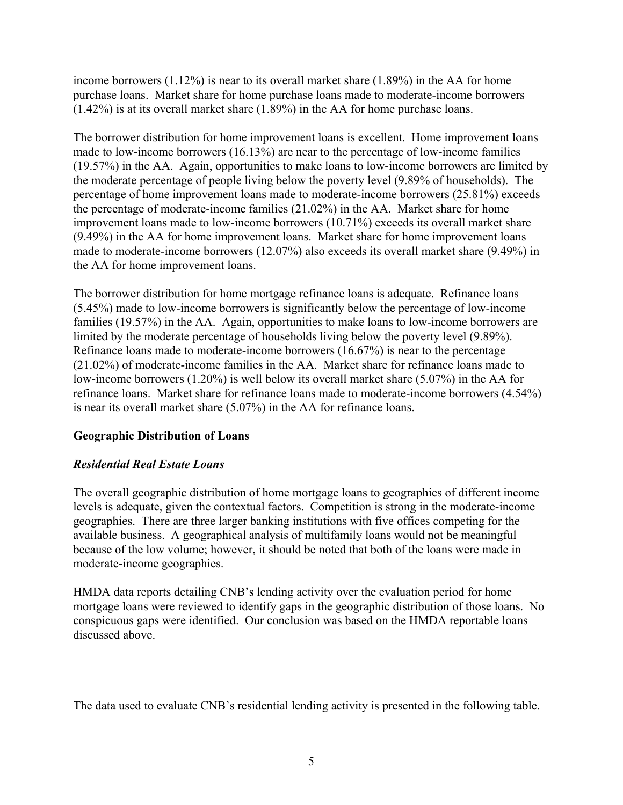income borrowers  $(1.12\%)$  is near to its overall market share  $(1.89\%)$  in the AA for home purchase loans. Market share for home purchase loans made to moderate-income borrowers (1.42%) is at its overall market share (1.89%) in the AA for home purchase loans.

The borrower distribution for home improvement loans is excellent. Home improvement loans made to low-income borrowers (16.13%) are near to the percentage of low-income families (19.57%) in the AA. Again, opportunities to make loans to low-income borrowers are limited by the moderate percentage of people living below the poverty level (9.89% of households). The percentage of home improvement loans made to moderate-income borrowers (25.81%) exceeds the percentage of moderate-income families (21.02%) in the AA. Market share for home improvement loans made to low-income borrowers (10.71%) exceeds its overall market share (9.49%) in the AA for home improvement loans. Market share for home improvement loans made to moderate-income borrowers (12.07%) also exceeds its overall market share (9.49%) in the AA for home improvement loans.

The borrower distribution for home mortgage refinance loans is adequate. Refinance loans (5.45%) made to low-income borrowers is significantly below the percentage of low-income families (19.57%) in the AA. Again, opportunities to make loans to low-income borrowers are limited by the moderate percentage of households living below the poverty level (9.89%). Refinance loans made to moderate-income borrowers (16.67%) is near to the percentage (21.02%) of moderate-income families in the AA. Market share for refinance loans made to low-income borrowers (1.20%) is well below its overall market share (5.07%) in the AA for refinance loans. Market share for refinance loans made to moderate-income borrowers (4.54%) is near its overall market share (5.07%) in the AA for refinance loans.

### **Geographic Distribution of Loans**

### *Residential Real Estate Loans*

The overall geographic distribution of home mortgage loans to geographies of different income levels is adequate, given the contextual factors. Competition is strong in the moderate-income geographies. There are three larger banking institutions with five offices competing for the available business. A geographical analysis of multifamily loans would not be meaningful because of the low volume; however, it should be noted that both of the loans were made in moderate-income geographies.

HMDA data reports detailing CNB's lending activity over the evaluation period for home mortgage loans were reviewed to identify gaps in the geographic distribution of those loans. No conspicuous gaps were identified. Our conclusion was based on the HMDA reportable loans discussed above.

The data used to evaluate CNB's residential lending activity is presented in the following table.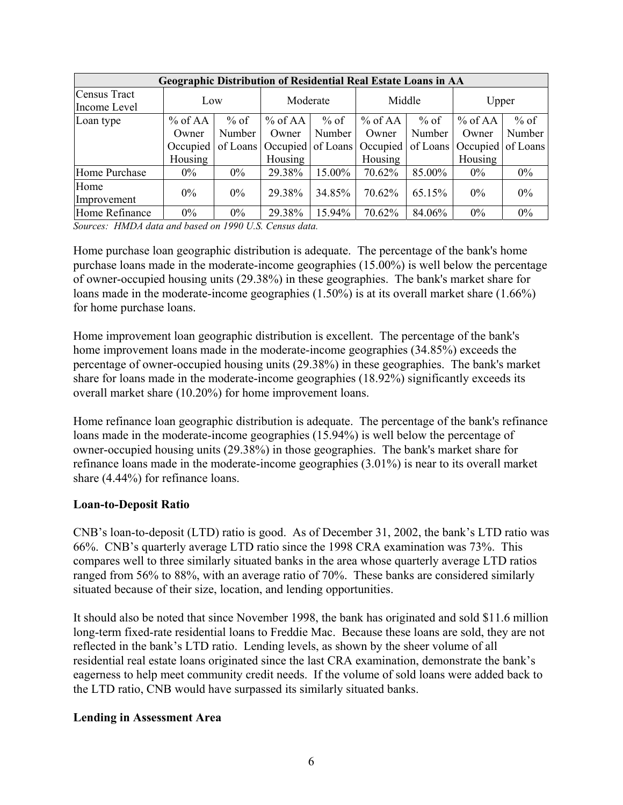| <b>Geographic Distribution of Residential Real Estate Loans in AA</b> |           |          |           |        |                            |          |                   |        |
|-----------------------------------------------------------------------|-----------|----------|-----------|--------|----------------------------|----------|-------------------|--------|
| Census Tract                                                          | Low       |          | Moderate  |        | Middle                     |          | Upper             |        |
| Income Level                                                          |           |          |           |        |                            |          |                   |        |
| Loan type                                                             | $%$ of AA | $%$ of   | $%$ of AA | $%$ of | $%$ of AA                  | $%$ of   | $%$ of AA         | $%$ of |
|                                                                       | Owner     | Number   | Owner     | Number | Owner                      | Number   | Owner             | Number |
|                                                                       | Occupied  | of Loans |           |        | Occupied of Loans Occupied | of Loans | Occupied of Loans |        |
|                                                                       | Housing   |          | Housing   |        | Housing                    |          | Housing           |        |
| Home Purchase                                                         | $0\%$     | $0\%$    | 29.38%    | 15.00% | 70.62%                     | 85.00%   | $0\%$             | $0\%$  |
| Home                                                                  | $0\%$     | $0\%$    | 29.38%    | 34.85% | 70.62%                     | 65.15%   | $0\%$             | $0\%$  |
| Improvement                                                           |           |          |           |        |                            |          |                   |        |
| Home Refinance                                                        | $0\%$     | $0\%$    | 29.38%    | 15.94% | 70.62%                     | 84.06%   | $0\%$             | $0\%$  |

*Sources: HMDA data and based on 1990 U.S. Census data.* 

Home purchase loan geographic distribution is adequate. The percentage of the bank's home purchase loans made in the moderate-income geographies (15.00%) is well below the percentage of owner-occupied housing units (29.38%) in these geographies. The bank's market share for loans made in the moderate-income geographies (1.50%) is at its overall market share (1.66%) for home purchase loans.

Home improvement loan geographic distribution is excellent. The percentage of the bank's home improvement loans made in the moderate-income geographies (34.85%) exceeds the percentage of owner-occupied housing units (29.38%) in these geographies. The bank's market share for loans made in the moderate-income geographies (18.92%) significantly exceeds its overall market share (10.20%) for home improvement loans.

Home refinance loan geographic distribution is adequate. The percentage of the bank's refinance loans made in the moderate-income geographies (15.94%) is well below the percentage of owner-occupied housing units (29.38%) in those geographies. The bank's market share for refinance loans made in the moderate-income geographies (3.01%) is near to its overall market share (4.44%) for refinance loans.

#### **Loan-to-Deposit Ratio**

CNB's loan-to-deposit (LTD) ratio is good. As of December 31, 2002, the bank's LTD ratio was 66%. CNB's quarterly average LTD ratio since the 1998 CRA examination was 73%. This compares well to three similarly situated banks in the area whose quarterly average LTD ratios ranged from 56% to 88%, with an average ratio of 70%. These banks are considered similarly situated because of their size, location, and lending opportunities.

It should also be noted that since November 1998, the bank has originated and sold \$11.6 million long-term fixed-rate residential loans to Freddie Mac. Because these loans are sold, they are not reflected in the bank's LTD ratio. Lending levels, as shown by the sheer volume of all residential real estate loans originated since the last CRA examination, demonstrate the bank's eagerness to help meet community credit needs. If the volume of sold loans were added back to the LTD ratio, CNB would have surpassed its similarly situated banks.

#### **Lending in Assessment Area**